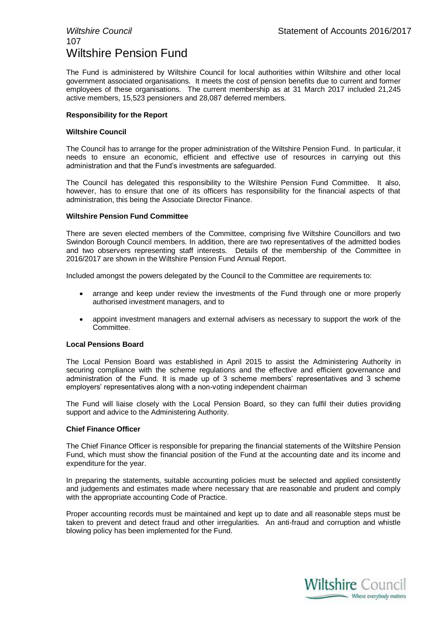## 107 Wiltshire Pension Fund

The Fund is administered by Wiltshire Council for local authorities within Wiltshire and other local government associated organisations. It meets the cost of pension benefits due to current and former employees of these organisations. The current membership as at 31 March 2017 included 21,245 active members, 15,523 pensioners and 28,087 deferred members.

#### **Responsibility for the Report**

#### **Wiltshire Council**

The Council has to arrange for the proper administration of the Wiltshire Pension Fund. In particular, it needs to ensure an economic, efficient and effective use of resources in carrying out this administration and that the Fund's investments are safeguarded.

The Council has delegated this responsibility to the Wiltshire Pension Fund Committee. It also, however, has to ensure that one of its officers has responsibility for the financial aspects of that administration, this being the Associate Director Finance.

#### **Wiltshire Pension Fund Committee**

There are seven elected members of the Committee, comprising five Wiltshire Councillors and two Swindon Borough Council members. In addition, there are two representatives of the admitted bodies and two observers representing staff interests. Details of the membership of the Committee in 2016/2017 are shown in the Wiltshire Pension Fund Annual Report.

Included amongst the powers delegated by the Council to the Committee are requirements to:

- arrange and keep under review the investments of the Fund through one or more properly authorised investment managers, and to
- appoint investment managers and external advisers as necessary to support the work of the Committee.

#### **Local Pensions Board**

The Local Pension Board was established in April 2015 to assist the Administering Authority in securing compliance with the scheme regulations and the effective and efficient governance and administration of the Fund. It is made up of 3 scheme members' representatives and 3 scheme employers' representatives along with a non-voting independent chairman

The Fund will liaise closely with the Local Pension Board, so they can fulfil their duties providing support and advice to the Administering Authority.

#### **Chief Finance Officer**

The Chief Finance Officer is responsible for preparing the financial statements of the Wiltshire Pension Fund, which must show the financial position of the Fund at the accounting date and its income and expenditure for the year.

In preparing the statements, suitable accounting policies must be selected and applied consistently and judgements and estimates made where necessary that are reasonable and prudent and comply with the appropriate accounting Code of Practice.

Proper accounting records must be maintained and kept up to date and all reasonable steps must be taken to prevent and detect fraud and other irregularities. An anti-fraud and corruption and whistle blowing policy has been implemented for the Fund.

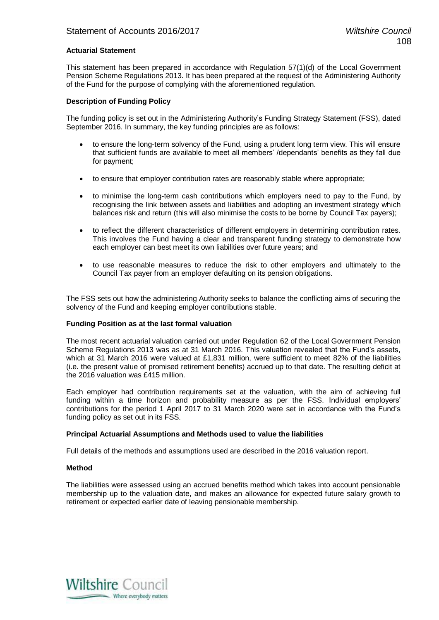#### **Actuarial Statement**

This statement has been prepared in accordance with Regulation 57(1)(d) of the Local Government Pension Scheme Regulations 2013. It has been prepared at the request of the Administering Authority of the Fund for the purpose of complying with the aforementioned regulation.

#### **Description of Funding Policy**

The funding policy is set out in the Administering Authority's Funding Strategy Statement (FSS), dated September 2016. In summary, the key funding principles are as follows:

- to ensure the long-term solvency of the Fund, using a prudent long term view. This will ensure that sufficient funds are available to meet all members' /dependants' benefits as they fall due for payment;
- to ensure that employer contribution rates are reasonably stable where appropriate;
- to minimise the long-term cash contributions which employers need to pay to the Fund, by recognising the link between assets and liabilities and adopting an investment strategy which balances risk and return (this will also minimise the costs to be borne by Council Tax payers);
- to reflect the different characteristics of different employers in determining contribution rates. This involves the Fund having a clear and transparent funding strategy to demonstrate how each employer can best meet its own liabilities over future years; and
- to use reasonable measures to reduce the risk to other employers and ultimately to the Council Tax payer from an employer defaulting on its pension obligations.

The FSS sets out how the administering Authority seeks to balance the conflicting aims of securing the solvency of the Fund and keeping employer contributions stable.

#### **Funding Position as at the last formal valuation**

The most recent actuarial valuation carried out under Regulation 62 of the Local Government Pension Scheme Regulations 2013 was as at 31 March 2016. This valuation revealed that the Fund's assets, which at 31 March 2016 were valued at £1,831 million, were sufficient to meet 82% of the liabilities (i.e. the present value of promised retirement benefits) accrued up to that date. The resulting deficit at the 2016 valuation was £415 million.

Each employer had contribution requirements set at the valuation, with the aim of achieving full funding within a time horizon and probability measure as per the FSS. Individual employers' contributions for the period 1 April 2017 to 31 March 2020 were set in accordance with the Fund's funding policy as set out in its FSS.

#### **Principal Actuarial Assumptions and Methods used to value the liabilities**

Full details of the methods and assumptions used are described in the 2016 valuation report.

#### **Method**

The liabilities were assessed using an accrued benefits method which takes into account pensionable membership up to the valuation date, and makes an allowance for expected future salary growth to retirement or expected earlier date of leaving pensionable membership.

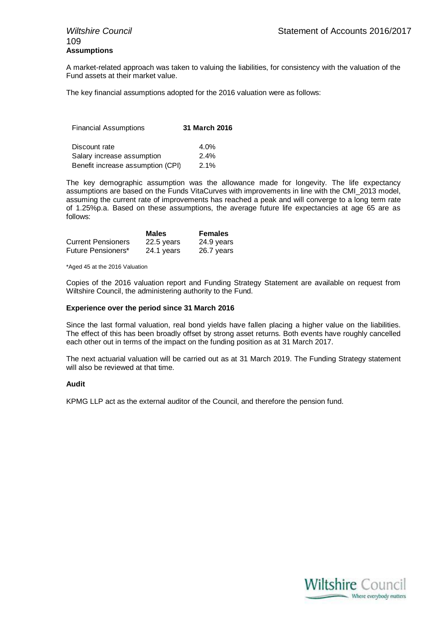## 109 **Assumptions**

A market-related approach was taken to valuing the liabilities, for consistency with the valuation of the Fund assets at their market value.

The key financial assumptions adopted for the 2016 valuation were as follows:

| <b>Financial Assumptions</b>      | 31 March 2016 |
|-----------------------------------|---------------|
| Discount rate                     | 4.0%          |
| Salary increase assumption        | 2.4%          |
| Benefit increase assumption (CPI) | 2.1%          |

The key demographic assumption was the allowance made for longevity. The life expectancy assumptions are based on the Funds VitaCurves with improvements in line with the CMI\_2013 model, assuming the current rate of improvements has reached a peak and will converge to a long term rate of 1.25%p.a. Based on these assumptions, the average future life expectancies at age 65 are as follows:

|                           | <b>Males</b> | <b>Females</b> |
|---------------------------|--------------|----------------|
| <b>Current Pensioners</b> | 22.5 years   | 24.9 years     |
| Future Pensioners*        | 24.1 years   | 26.7 years     |

\*Aged 45 at the 2016 Valuation

Copies of the 2016 valuation report and Funding Strategy Statement are available on request from Wiltshire Council, the administering authority to the Fund.

#### **Experience over the period since 31 March 2016**

Since the last formal valuation, real bond yields have fallen placing a higher value on the liabilities. The effect of this has been broadly offset by strong asset returns. Both events have roughly cancelled each other out in terms of the impact on the funding position as at 31 March 2017.

The next actuarial valuation will be carried out as at 31 March 2019. The Funding Strategy statement will also be reviewed at that time.

#### **Audit**

KPMG LLP act as the external auditor of the Council, and therefore the pension fund.

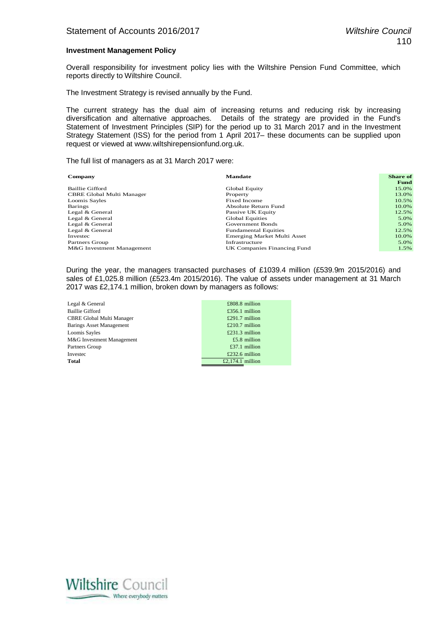#### **Investment Management Policy**

Overall responsibility for investment policy lies with the Wiltshire Pension Fund Committee, which reports directly to Wiltshire Council.

The Investment Strategy is revised annually by the Fund.

The current strategy has the dual aim of increasing returns and reducing risk by increasing diversification and alternative approaches. Details of the strategy are provided in the Fund's Statement of Investment Principles (SIP) for the period up to 31 March 2017 and in the Investment Strategy Statement (ISS) for the period from 1 April 2017– these documents can be supplied upon request or viewed at www.wiltshirepensionfund.org.uk.

The full list of managers as at 31 March 2017 were:

| Company                   | <b>Mandate</b>                     | <b>Share of</b> |
|---------------------------|------------------------------------|-----------------|
|                           |                                    | <b>Fund</b>     |
| Baillie Gifford           | Global Equity                      | 15.0%           |
| CBRE Global Multi Manager | Property                           | 13.0%           |
| Loomis Sayles             | Fixed Income                       | 10.5%           |
| <b>Barings</b>            | Absolute Return Fund               | 10.0%           |
| Legal & General           | Passive UK Equity                  | 12.5%           |
| Legal & General           | Global Equities                    | 5.0%            |
| Legal & General           | Government Bonds                   | 5.0%            |
| Legal & General           | <b>Fundamental Equities</b>        | 12.5%           |
| Investec                  | <b>Emerging Market Multi Asset</b> | 10.0%           |
| Partners Group            | Infrastructure                     | 5.0%            |
| M&G Investment Management | UK Companies Financing Fund        | 1.5%            |

During the year, the managers transacted purchases of £1039.4 million (£539.9m 2015/2016) and sales of £1,025.8 million (£523.4m 2015/2016). The value of assets under management at 31 March 2017 was £2,174.1 million, broken down by managers as follows:

| Legal & General                 | $£808.8$ million |
|---------------------------------|------------------|
| Baillie Gifford                 | £356.1 million   |
| CBRE Global Multi Manager       | £291.7 million   |
| <b>Barings Asset Management</b> | £210.7 million   |
| Loomis Sayles                   | £231.3 million   |
| M&G Investment Management       | £5.8 million     |
| Partners Group                  | £37.1 million    |
| Investec                        | $£232.6$ million |
| <b>Total</b>                    | £2,174.1 million |
|                                 |                  |

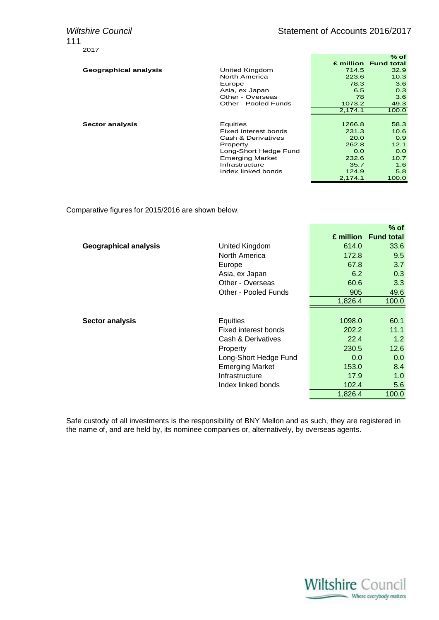111 2017

|                        |         | % of                 |
|------------------------|---------|----------------------|
|                        |         | £ million Fund total |
| United Kingdom         | 714.5   | 32.9                 |
| North America          | 223.6   | 10.3                 |
| Europe                 | 78.3    | 3.6                  |
| Asia, ex Japan         | 6.5     | 0.3                  |
| Other - Overseas       | 78      | 3.6                  |
| Other - Pooled Funds   | 1073.2  | 49.3                 |
|                        | 2,174.1 | 100.0                |
|                        |         |                      |
| Equities               | 1266.8  | 58.3                 |
| Fixed interest bonds   | 231.3   | 10.6                 |
| Cash & Derivatives     | 20.0    | 0.9                  |
| Property               | 262.8   | 12.1                 |
| Long-Short Hedge Fund  | 0.0     | 0.0                  |
| <b>Emerging Market</b> | 232.6   | 10.7                 |
| Infrastructure         | 35.7    | 1.6                  |
| Index linked bonds     | 124.9   | 5.8                  |
|                        | 2,174.1 | 100.0                |
|                        |         |                      |

Comparative figures for 2015/2016 are shown below.

|                              |                        |           | $%$ of            |
|------------------------------|------------------------|-----------|-------------------|
|                              |                        | £ million | <b>Fund total</b> |
| <b>Geographical analysis</b> | United Kingdom         | 614.0     | 33.6              |
|                              | North America          | 172.8     | 9.5               |
|                              | Europe                 | 67.8      | 3.7               |
|                              | Asia, ex Japan         | 6.2       | 0.3               |
|                              | Other - Overseas       | 60.6      | 3.3               |
|                              | Other - Pooled Funds   | 905       | 49.6              |
|                              |                        | 1,826.4   | 100.0             |
|                              |                        |           |                   |
| <b>Sector analysis</b>       | Equities               | 1098.0    | 60.1              |
|                              | Fixed interest bonds   | 202.2     | 11.1              |
|                              | Cash & Derivatives     | 22.4      | 1.2               |
|                              | Property               | 230.5     | 12.6              |
|                              | Long-Short Hedge Fund  | 0.0       | 0.0               |
|                              | <b>Emerging Market</b> | 153.0     | 8.4               |
|                              | Infrastructure         | 17.9      | 1.0               |
|                              | Index linked bonds     | 102.4     | 5.6               |
|                              |                        | 1,826.4   | 100.0             |

Safe custody of all investments is the responsibility of BNY Mellon and as such, they are registered in the name of, and are held by, its nominee companies or, alternatively, by overseas agents.

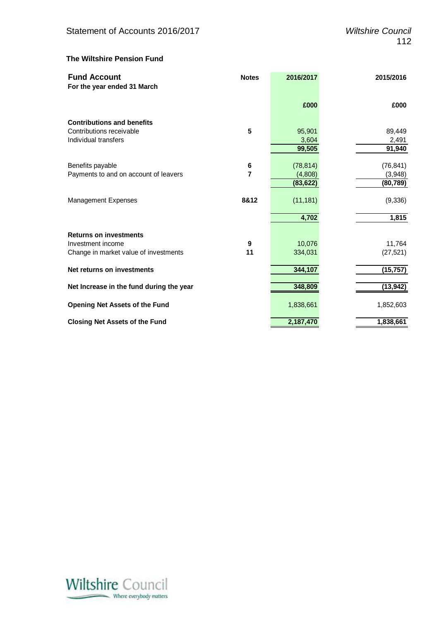#### **The Wiltshire Pension Fund**

| <b>Fund Account</b>                      | <b>Notes</b> | 2016/2017 | 2015/2016 |
|------------------------------------------|--------------|-----------|-----------|
| For the year ended 31 March              |              |           |           |
|                                          |              | £000      | £000      |
| <b>Contributions and benefits</b>        |              |           |           |
| Contributions receivable                 | 5            | 95,901    | 89,449    |
| Individual transfers                     |              | 3,604     | 2,491     |
|                                          |              | 99,505    | 91,940    |
| Benefits payable                         | 6            | (78, 814) | (76, 841) |
| Payments to and on account of leavers    | 7            | (4,808)   | (3,948)   |
|                                          |              | (83, 622) | (80, 789) |
| Management Expenses                      | 8&12         | (11, 181) | (9,336)   |
|                                          |              | 4,702     | 1,815     |
| <b>Returns on investments</b>            |              |           |           |
| Investment income                        | 9            | 10,076    | 11,764    |
| Change in market value of investments    | 11           | 334,031   | (27, 521) |
| Net returns on investments               |              | 344,107   | (15, 757) |
| Net Increase in the fund during the year |              | 348,809   | (13, 942) |
| <b>Opening Net Assets of the Fund</b>    |              | 1,838,661 | 1,852,603 |
| <b>Closing Net Assets of the Fund</b>    |              | 2,187,470 | 1,838,661 |

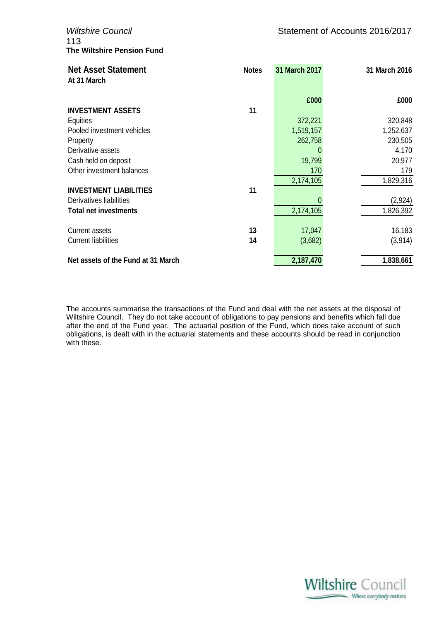113 **The Wiltshire Pension Fund**

| <b>Net Asset Statement</b><br>At 31 March | <b>Notes</b> | 31 March 2017 | 31 March 2016 |
|-------------------------------------------|--------------|---------------|---------------|
|                                           |              | £000          | £000          |
| <b>INVESTMENT ASSETS</b>                  | 11           |               |               |
| Equities                                  |              | 372,221       | 320,848       |
| Pooled investment vehicles                |              | 1,519,157     | 1,252,637     |
| Property                                  |              | 262,758       | 230,505       |
| Derivative assets                         |              | 0             | 4,170         |
| Cash held on deposit                      |              | 19,799        | 20,977        |
| Other investment balances                 |              | 170           | 179           |
|                                           |              | 2,174,105     | 1,829,316     |
| <b>INVESTMENT LIABILITIES</b>             | 11           |               |               |
| Derivatives liabilities                   |              |               | (2,924)       |
| <b>Total net investments</b>              |              | 2,174,105     | 1,826,392     |
| Current assets                            | 13           | 17,047        | 16,183        |
| <b>Current liabilities</b>                | 14           | (3,682)       | (3,914)       |
| Net assets of the Fund at 31 March        |              | 2,187,470     | 1,838,661     |

The accounts summarise the transactions of the Fund and deal with the net assets at the disposal of Wiltshire Council. They do not take account of obligations to pay pensions and benefits which fall due after the end of the Fund year. The actuarial position of the Fund, which does take account of such obligations, is dealt with in the actuarial statements and these accounts should be read in conjunction with these.

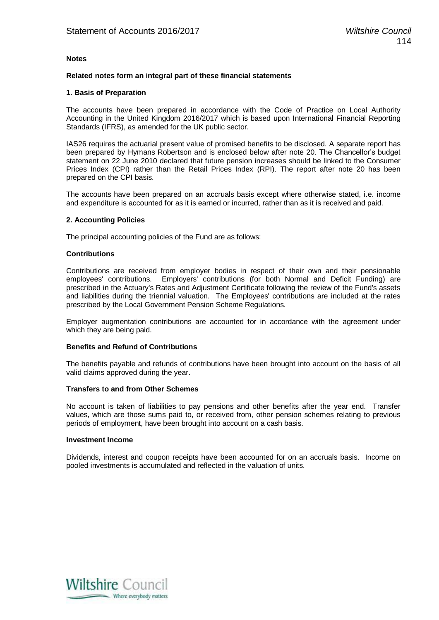#### **Notes**

#### **Related notes form an integral part of these financial statements**

#### **1. Basis of Preparation**

The accounts have been prepared in accordance with the Code of Practice on Local Authority Accounting in the United Kingdom 2016/2017 which is based upon International Financial Reporting Standards (IFRS), as amended for the UK public sector.

IAS26 requires the actuarial present value of promised benefits to be disclosed. A separate report has been prepared by Hymans Robertson and is enclosed below after note 20. The Chancellor's budget statement on 22 June 2010 declared that future pension increases should be linked to the Consumer Prices Index (CPI) rather than the Retail Prices Index (RPI). The report after note 20 has been prepared on the CPI basis.

The accounts have been prepared on an accruals basis except where otherwise stated, i.e. income and expenditure is accounted for as it is earned or incurred, rather than as it is received and paid.

#### **2. Accounting Policies**

The principal accounting policies of the Fund are as follows:

#### **Contributions**

Contributions are received from employer bodies in respect of their own and their pensionable employees' contributions. Employers' contributions (for both Normal and Deficit Funding) are prescribed in the Actuary's Rates and Adjustment Certificate following the review of the Fund's assets and liabilities during the triennial valuation. The Employees' contributions are included at the rates prescribed by the Local Government Pension Scheme Regulations.

Employer augmentation contributions are accounted for in accordance with the agreement under which they are being paid.

#### **Benefits and Refund of Contributions**

The benefits payable and refunds of contributions have been brought into account on the basis of all valid claims approved during the year.

#### **Transfers to and from Other Schemes**

No account is taken of liabilities to pay pensions and other benefits after the year end. Transfer values, which are those sums paid to, or received from, other pension schemes relating to previous periods of employment, have been brought into account on a cash basis.

#### **Investment Income**

Dividends, interest and coupon receipts have been accounted for on an accruals basis. Income on pooled investments is accumulated and reflected in the valuation of units.

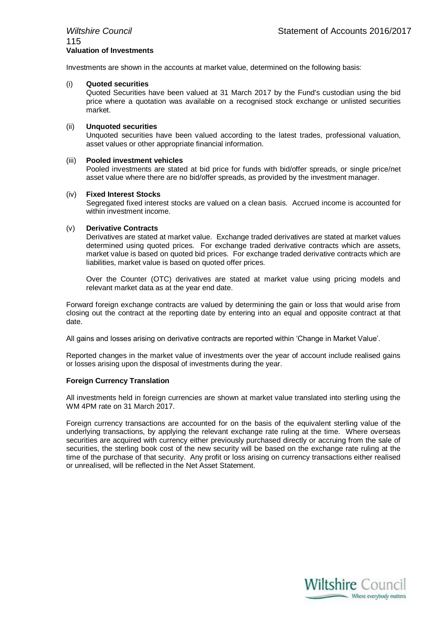### 115 **Valuation of Investments**

Investments are shown in the accounts at market value, determined on the following basis:

#### (i) **Quoted securities**

Quoted Securities have been valued at 31 March 2017 by the Fund's custodian using the bid price where a quotation was available on a recognised stock exchange or unlisted securities market.

#### (ii) **Unquoted securities**

Unquoted securities have been valued according to the latest trades, professional valuation, asset values or other appropriate financial information.

#### (iii) **Pooled investment vehicles**

Pooled investments are stated at bid price for funds with bid/offer spreads, or single price/net asset value where there are no bid/offer spreads, as provided by the investment manager.

#### (iv) **Fixed Interest Stocks**

Segregated fixed interest stocks are valued on a clean basis. Accrued income is accounted for within investment income.

#### (v) **Derivative Contracts**

Derivatives are stated at market value. Exchange traded derivatives are stated at market values determined using quoted prices. For exchange traded derivative contracts which are assets, market value is based on quoted bid prices. For exchange traded derivative contracts which are liabilities, market value is based on quoted offer prices.

Over the Counter (OTC) derivatives are stated at market value using pricing models and relevant market data as at the year end date.

Forward foreign exchange contracts are valued by determining the gain or loss that would arise from closing out the contract at the reporting date by entering into an equal and opposite contract at that date.

All gains and losses arising on derivative contracts are reported within 'Change in Market Value'.

Reported changes in the market value of investments over the year of account include realised gains or losses arising upon the disposal of investments during the year.

#### **Foreign Currency Translation**

All investments held in foreign currencies are shown at market value translated into sterling using the WM 4PM rate on 31 March 2017.

Foreign currency transactions are accounted for on the basis of the equivalent sterling value of the underlying transactions, by applying the relevant exchange rate ruling at the time. Where overseas securities are acquired with currency either previously purchased directly or accruing from the sale of securities, the sterling book cost of the new security will be based on the exchange rate ruling at the time of the purchase of that security. Any profit or loss arising on currency transactions either realised or unrealised, will be reflected in the Net Asset Statement.

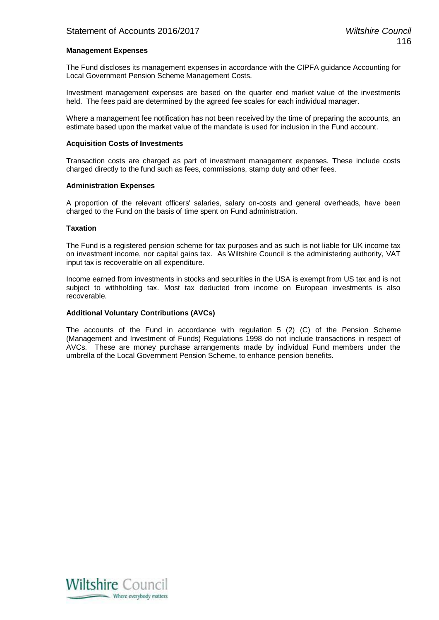#### **Management Expenses**

The Fund discloses its management expenses in accordance with the CIPFA guidance Accounting for Local Government Pension Scheme Management Costs.

Investment management expenses are based on the quarter end market value of the investments held. The fees paid are determined by the agreed fee scales for each individual manager.

Where a management fee notification has not been received by the time of preparing the accounts, an estimate based upon the market value of the mandate is used for inclusion in the Fund account.

#### **Acquisition Costs of Investments**

Transaction costs are charged as part of investment management expenses. These include costs charged directly to the fund such as fees, commissions, stamp duty and other fees.

#### **Administration Expenses**

A proportion of the relevant officers' salaries, salary on-costs and general overheads, have been charged to the Fund on the basis of time spent on Fund administration.

#### **Taxation**

The Fund is a registered pension scheme for tax purposes and as such is not liable for UK income tax on investment income, nor capital gains tax. As Wiltshire Council is the administering authority, VAT input tax is recoverable on all expenditure.

Income earned from investments in stocks and securities in the USA is exempt from US tax and is not subject to withholding tax. Most tax deducted from income on European investments is also recoverable.

#### **Additional Voluntary Contributions (AVCs)**

The accounts of the Fund in accordance with regulation 5 (2) (C) of the Pension Scheme (Management and Investment of Funds) Regulations 1998 do not include transactions in respect of AVCs. These are money purchase arrangements made by individual Fund members under the umbrella of the Local Government Pension Scheme, to enhance pension benefits.

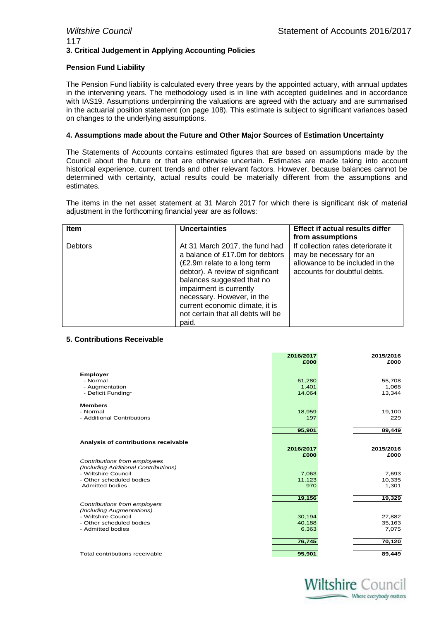#### *Wiltshire Council* **Statement of Accounts 2016/2017** 117 **3. Critical Judgement in Applying Accounting Policies**

#### **Pension Fund Liability**

The Pension Fund liability is calculated every three years by the appointed actuary, with annual updates in the intervening years. The methodology used is in line with accepted guidelines and in accordance with IAS19. Assumptions underpinning the valuations are agreed with the actuary and are summarised in the actuarial position statement (on page 108). This estimate is subject to significant variances based on changes to the underlying assumptions.

#### **4. Assumptions made about the Future and Other Major Sources of Estimation Uncertainty**

The Statements of Accounts contains estimated figures that are based on assumptions made by the Council about the future or that are otherwise uncertain. Estimates are made taking into account historical experience, current trends and other relevant factors. However, because balances cannot be determined with certainty, actual results could be materially different from the assumptions and estimates.

The items in the net asset statement at 31 March 2017 for which there is significant risk of material adjustment in the forthcoming financial year are as follows:

| <b>Item</b>    | <b>Uncertainties</b>                                                                                                                                                                                                                                                                                           | <b>Effect if actual results differ</b><br>from assumptions                                                                       |
|----------------|----------------------------------------------------------------------------------------------------------------------------------------------------------------------------------------------------------------------------------------------------------------------------------------------------------------|----------------------------------------------------------------------------------------------------------------------------------|
| <b>Debtors</b> | At 31 March 2017, the fund had<br>a balance of £17.0m for debtors<br>(£2.9m relate to a long term<br>debtor). A review of significant<br>balances suggested that no<br>impairment is currently<br>necessary. However, in the<br>current economic climate, it is<br>not certain that all debts will be<br>paid. | If collection rates deteriorate it<br>may be necessary for an<br>allowance to be included in the<br>accounts for doubtful debts. |

#### **5. Contributions Receivable**

|                                               | 2016/2017 | 2015/2016<br>£000 |
|-----------------------------------------------|-----------|-------------------|
|                                               | £000      |                   |
| <b>Employer</b>                               |           |                   |
| - Normal                                      | 61,280    | 55,708            |
| - Augmentation                                | 1,401     | 1,068             |
| - Deficit Funding*                            | 14,064    | 13,344            |
| <b>Members</b>                                |           |                   |
| - Normal                                      | 18,959    | 19,100            |
| - Additional Contributions                    | 197       | 229               |
|                                               | 95,901    | 89,449            |
| Analysis of contributions receivable          |           |                   |
|                                               | 2016/2017 | 2015/2016         |
|                                               | £000      | £000              |
| Contributions from employees                  |           |                   |
| (Including Additional Contributions)          |           |                   |
| - Wiltshire Council                           | 7,063     | 7,693             |
| - Other scheduled bodies                      | 11,123    | 10,335            |
| Admitted bodies                               | 970       | 1,301             |
|                                               | 19,156    | 19,329            |
| Contributions from employers                  |           |                   |
| (Including Augmentations)                     |           |                   |
| - Wiltshire Council                           | 30,194    | 27,882            |
| - Other scheduled bodies<br>- Admitted bodies | 40,188    | 35,163            |
|                                               | 6,363     | 7,075             |
|                                               | 76,745    | 70,120            |
| Total contributions receivable                | 95,901    | 89,449            |
|                                               |           |                   |

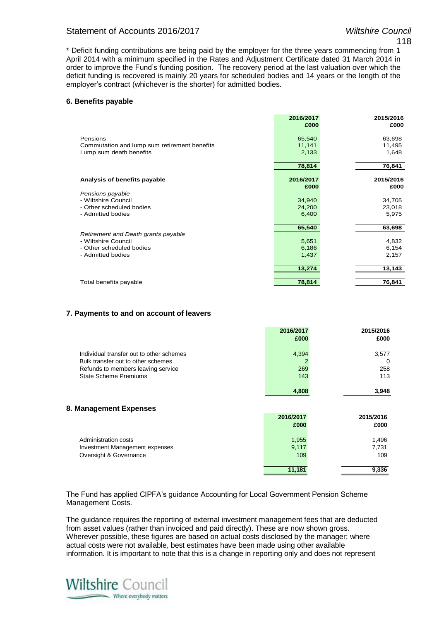#### Statement of Accounts 2016/2017 *Wiltshire Council*

\* Deficit funding contributions are being paid by the employer for the three years commencing from 1 April 2014 with a minimum specified in the Rates and Adjustment Certificate dated 31 March 2014 in order to improve the Fund's funding position. The recovery period at the last valuation over which the deficit funding is recovered is mainly 20 years for scheduled bodies and 14 years or the length of the employer's contract (whichever is the shorter) for admitted bodies.

#### **6. Benefits payable**

|                                              | 2016/2017 | 2015/2016 |
|----------------------------------------------|-----------|-----------|
|                                              | £000      | £000      |
| Pensions                                     | 65,540    | 63,698    |
| Commutation and lump sum retirement benefits | 11,141    | 11,495    |
| Lump sum death benefits                      | 2,133     | 1,648     |
|                                              |           |           |
|                                              | 78,814    | 76,841    |
| Analysis of benefits payable                 | 2016/2017 | 2015/2016 |
|                                              | £000      | £000      |
| Pensions payable                             |           |           |
| - Wiltshire Council                          | 34,940    | 34,705    |
| - Other scheduled bodies                     | 24,200    | 23,018    |
| - Admitted bodies                            | 6,400     | 5,975     |
|                                              | 65,540    | 63,698    |
| Retirement and Death grants payable          |           |           |
| - Wiltshire Council                          | 5,651     | 4,832     |
| - Other scheduled bodies                     | 6,186     | 6,154     |
| - Admitted bodies                            | 1,437     | 2,157     |
|                                              | 13,274    | 13,143    |
|                                              |           |           |
| Total benefits payable                       | 78,814    | 76,841    |

#### **7. Payments to and on account of leavers**

|                                          | 2016/2017<br>£000 | 2015/2016<br>£000 |
|------------------------------------------|-------------------|-------------------|
| Individual transfer out to other schemes | 4,394             | 3,577             |
| Bulk transfer out to other schemes       | 2                 | 0                 |
| Refunds to members leaving service       | 269               | 258               |
| <b>State Scheme Premiums</b>             | 143               | 113               |
|                                          | 4,808             | 3,948             |
| 8. Management Expenses                   |                   |                   |
|                                          | 2016/2017         | 2015/2016         |
|                                          | £000              | £000              |
| Administration costs                     | 1,955             | 1,496             |
| Investment Management expenses           | 9,117             | 7,731             |
| Oversight & Governance                   | 109               | 109               |
|                                          | 11,181            | 9,336             |

The Fund has applied CIPFA's guidance Accounting for Local Government Pension Scheme Management Costs.

The guidance requires the reporting of external investment management fees that are deducted from asset values (rather than invoiced and paid directly). These are now shown gross. Wherever possible, these figures are based on actual costs disclosed by the manager; where actual costs were not available, best estimates have been made using other available information. It is important to note that this is a change in reporting only and does not represent

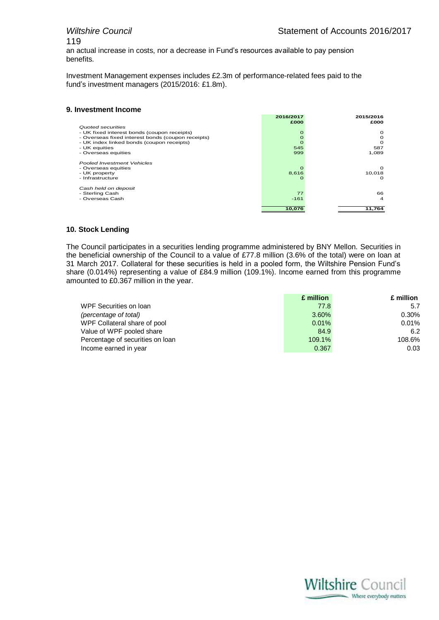# 119

an actual increase in costs, nor a decrease in Fund's resources available to pay pension benefits.

Investment Management expenses includes £2.3m of performance-related fees paid to the fund's investment managers (2015/2016: £1.8m).

#### **9. Investment Income**

|                                                   | 2016/2017<br>£000 | 2015/2016<br>£000 |
|---------------------------------------------------|-------------------|-------------------|
| Quoted securities                                 |                   |                   |
| - UK fixed interest bonds (coupon receipts)       |                   | $\circ$           |
| - Overseas fixed interest bonds (coupon receipts) |                   | Ω                 |
| - UK index linked bonds (coupon receipts)         |                   | $\Omega$          |
| - UK equities                                     | 545               | 587               |
| - Overseas equities                               | 999               | 1.089             |
| Pooled Investment Vehicles                        |                   |                   |
| - Overseas equities                               |                   | $\Omega$          |
| - UK property                                     | 8,616             | 10,018            |
| - Infrastructure                                  | C                 | $\Omega$          |
| Cash held on deposit                              |                   |                   |
| - Sterling Cash                                   | 77                | 66                |
| - Overseas Cash                                   | $-161$            | 4                 |
|                                                   |                   |                   |
|                                                   | 10.076            | 11.764            |

#### **10. Stock Lending**

The Council participates in a securities lending programme administered by BNY Mellon. Securities in the beneficial ownership of the Council to a value of £77.8 million (3.6% of the total) were on loan at 31 March 2017. Collateral for these securities is held in a pooled form, the Wiltshire Pension Fund's share (0.014%) representing a value of £84.9 million (109.1%). Income earned from this programme amounted to £0.367 million in the year.

|                                  | £ million | £ million |
|----------------------------------|-----------|-----------|
| WPF Securities on Ioan           | 77.8      | 5.7       |
| (percentage of total)            | 3.60%     | 0.30%     |
| WPF Collateral share of pool     | 0.01%     | 0.01%     |
| Value of WPF pooled share        | 84.9      | 6.2       |
| Percentage of securities on loan | 109.1%    | 108.6%    |
| Income earned in year            | 0.367     | 0.03      |

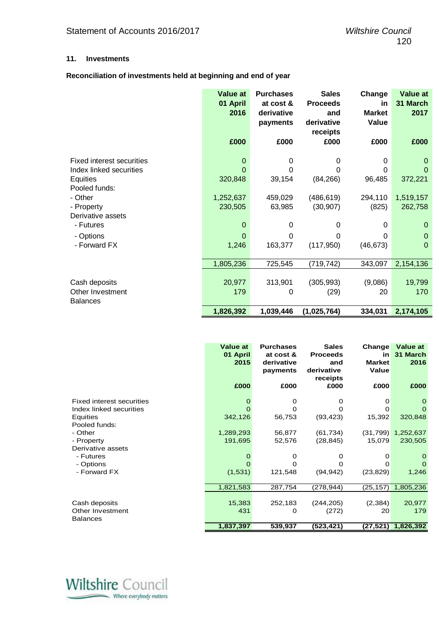#### **11. Investments**

#### **Reconciliation of investments held at beginning and end of year**

|                           | <b>Value at</b><br>01 April<br>2016 | <b>Purchases</b><br>at cost &<br>derivative<br>payments | <b>Sales</b><br><b>Proceeds</b><br>and<br>derivative<br>receipts | Change<br>in<br><b>Market</b><br>Value | <b>Value at</b><br>31 March<br>2017 |
|---------------------------|-------------------------------------|---------------------------------------------------------|------------------------------------------------------------------|----------------------------------------|-------------------------------------|
|                           | £000                                | £000                                                    | £000                                                             | £000                                   | £000                                |
| Fixed interest securities | $\mathbf 0$                         | 0                                                       | 0                                                                | 0                                      | 0                                   |
| Index linked securities   | $\Omega$                            | 0                                                       | 0                                                                | 0                                      | 0                                   |
| Equities<br>Pooled funds: | 320,848                             | 39,154                                                  | (84, 266)                                                        | 96,485                                 | 372,221                             |
| - Other                   | 1,252,637                           | 459,029                                                 | (486, 619)                                                       | 294,110                                | 1,519,157                           |
| - Property                | 230,505                             | 63,985                                                  | (30, 907)                                                        | (825)                                  | 262,758                             |
| Derivative assets         |                                     |                                                         |                                                                  |                                        |                                     |
| - Futures                 | $\mathbf 0$                         | 0                                                       | 0                                                                | 0                                      | $\mathbf 0$                         |
| - Options                 | $\Omega$                            | 0                                                       | 0                                                                | 0                                      | $\mathbf 0$                         |
| - Forward FX              | 1,246                               | 163,377                                                 | (117, 950)                                                       | (46, 673)                              | $\mathbf 0$                         |
|                           | 1,805,236                           | 725,545                                                 | (719, 742)                                                       | 343,097                                | 2,154,136                           |
|                           |                                     |                                                         |                                                                  |                                        |                                     |
| Cash deposits             | 20,977                              | 313,901                                                 | (305, 993)                                                       | (9,086)                                | 19,799                              |
| Other Investment          | 179                                 | 0                                                       | (29)                                                             | 20                                     | 170                                 |
| <b>Balances</b>           |                                     |                                                         |                                                                  |                                        |                                     |
|                           | 1,826,392                           | 1,039,446                                               | (1,025,764)                                                      | 334,031                                | 2,174,105                           |

|                                                                                                                                                                           | <b>Value at</b><br>01 April<br>2015                  | <b>Purchases</b><br>at cost &<br>derivative<br>payments          | <b>Sales</b><br><b>Proceeds</b><br>and<br>derivative<br>receipts     | Change<br>in<br><b>Market</b><br>Value            | <b>Value at</b><br>31 March<br>2016                           |
|---------------------------------------------------------------------------------------------------------------------------------------------------------------------------|------------------------------------------------------|------------------------------------------------------------------|----------------------------------------------------------------------|---------------------------------------------------|---------------------------------------------------------------|
|                                                                                                                                                                           | £000                                                 | £000                                                             | £000                                                                 | £000                                              | £000                                                          |
| Fixed interest securities<br>Index linked securities<br>Equities<br>Pooled funds:<br>- Other<br>- Property<br>Derivative assets<br>- Futures<br>- Options<br>- Forward FX | O<br>O<br>342,126<br>1,289,293<br>191,695<br>(1,531) | 0<br>$\Omega$<br>56,753<br>56,877<br>52,576<br>0<br>O<br>121,548 | 0<br>O<br>(93, 423)<br>(61, 734)<br>(28, 845)<br>0<br>O<br>(94, 942) | 0<br>0<br>15,392<br>15,079<br>0<br>Ο<br>(23, 829) | 0<br>320,848<br>$(31,799)$ 1,252,637<br>230,505<br>0<br>1,246 |
|                                                                                                                                                                           | 1,821,583                                            | 287,754                                                          | (278,944)                                                            | (25, 157)                                         | 1,805,236                                                     |
| Cash deposits<br>Other Investment<br>Balances                                                                                                                             | 15,383<br>431<br>1,837,397                           | 252,183<br>0<br>539,937                                          | (244, 205)<br>(272)<br>(523,421)                                     | (2, 384)<br>20<br>(27,521)                        | 20,977<br>179<br>1,826,392                                    |

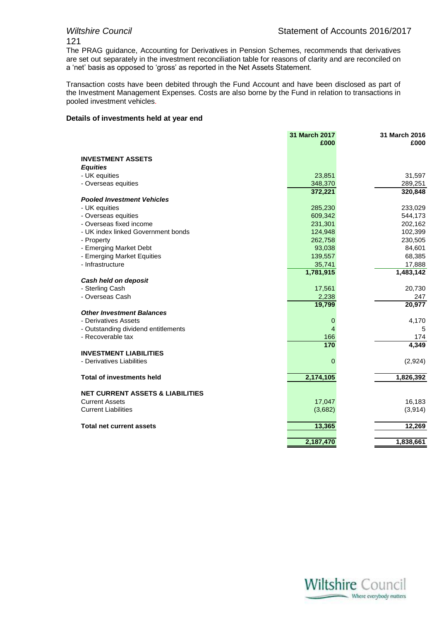# 121

The PRAG guidance, Accounting for Derivatives in Pension Schemes, recommends that derivatives are set out separately in the investment reconciliation table for reasons of clarity and are reconciled on a 'net' basis as opposed to 'gross' as reported in the Net Assets Statement.

Transaction costs have been debited through the Fund Account and have been disclosed as part of the Investment Management Expenses. Costs are also borne by the Fund in relation to transactions in pooled investment vehicles.

#### **Details of investments held at year end**

|                                                                      | 31 March 2017<br>£000 | 31 March 2016<br>£000 |
|----------------------------------------------------------------------|-----------------------|-----------------------|
|                                                                      |                       |                       |
| <b>INVESTMENT ASSETS</b>                                             |                       |                       |
| <b>Equities</b>                                                      |                       |                       |
| - UK equities                                                        | 23,851                | 31,597                |
| - Overseas equities                                                  | 348,370               | 289,251               |
|                                                                      | 372,221               | 320,848               |
| <b>Pooled Investment Vehicles</b>                                    |                       |                       |
| - UK equities                                                        | 285,230               | 233,029               |
| - Overseas equities                                                  | 609,342               | 544,173               |
| - Overseas fixed income                                              | 231,301               | 202,162               |
| - UK index linked Government bonds                                   | 124,948               | 102,399               |
| - Property                                                           | 262,758               | 230,505               |
| - Emerging Market Debt                                               | 93,038                | 84,601                |
| - Emerging Market Equities                                           | 139,557               | 68,385                |
| - Infrastructure                                                     | 35,741                | 17,888                |
|                                                                      | 1,781,915             | 1,483,142             |
| Cash held on deposit                                                 |                       |                       |
| - Sterling Cash                                                      | 17,561                | 20,730                |
| - Overseas Cash                                                      | 2,238                 | 247                   |
|                                                                      | 19,799                | 20,977                |
| <b>Other Investment Balances</b>                                     |                       |                       |
| - Derivatives Assets                                                 | 0                     | 4,170                 |
| - Outstanding dividend entitlements                                  | $\overline{4}$        | 5                     |
| - Recoverable tax                                                    | 166                   | 174                   |
|                                                                      | 170                   | 4,349                 |
| <b>INVESTMENT LIABILITIES</b>                                        |                       |                       |
| - Derivatives Liabilities                                            | $\overline{0}$        | (2,924)               |
| <b>Total of investments held</b>                                     | 2,174,105             | 1,826,392             |
|                                                                      |                       |                       |
| <b>NET CURRENT ASSETS &amp; LIABILITIES</b><br><b>Current Assets</b> | 17,047                | 16,183                |
| <b>Current Liabilities</b>                                           |                       |                       |
|                                                                      | (3,682)               | (3, 914)              |
| <b>Total net current assets</b>                                      | 13,365                | 12,269                |
|                                                                      | 2,187,470             | 1,838,661             |
|                                                                      |                       |                       |

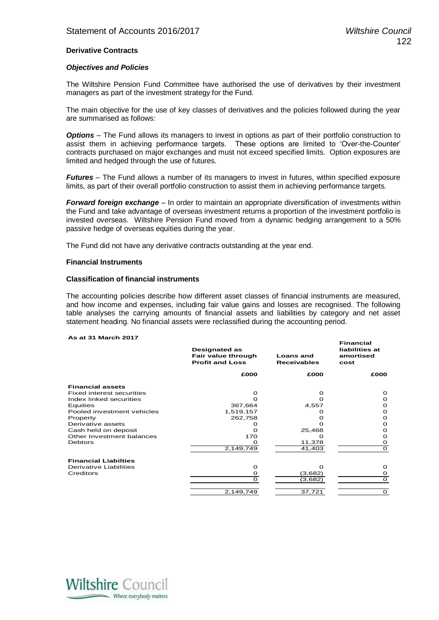**Financial** 

#### **Derivative Contracts**

#### *Objectives and Policies*

The Wiltshire Pension Fund Committee have authorised the use of derivatives by their investment managers as part of the investment strategy for the Fund.

The main objective for the use of key classes of derivatives and the policies followed during the year are summarised as follows:

*Options* – The Fund allows its managers to invest in options as part of their portfolio construction to assist them in achieving performance targets. These options are limited to 'Over-the-Counter' contracts purchased on major exchanges and must not exceed specified limits. Option exposures are limited and hedged through the use of futures.

*Futures* – The Fund allows a number of its managers to invest in futures, within specified exposure limits, as part of their overall portfolio construction to assist them in achieving performance targets.

*Forward foreign exchange* – In order to maintain an appropriate diversification of investments within the Fund and take advantage of overseas investment returns a proportion of the investment portfolio is invested overseas. Wiltshire Pension Fund moved from a dynamic hedging arrangement to a 50% passive hedge of overseas equities during the year.

The Fund did not have any derivative contracts outstanding at the year end.

#### **Financial Instruments**

#### **Classification of financial instruments**

The accounting policies describe how different asset classes of financial instruments are measured, and how income and expenses, including fair value gains and losses are recognised. The following table analyses the carrying amounts of financial assets and liabilities by category and net asset statement heading. No financial assets were reclassified during the accounting period.

#### **As at 31 March 2017**

|                                  | <b>Designated as</b><br>Fair value through<br><b>Profit and Loss</b> | <b>Loans</b> and<br><b>Receivables</b> | ı ıllalıvlal<br>liabilities at<br>amortised<br>cost |
|----------------------------------|----------------------------------------------------------------------|----------------------------------------|-----------------------------------------------------|
|                                  | £000                                                                 | £000                                   | £000                                                |
| <b>Financial assets</b>          |                                                                      |                                        |                                                     |
| <b>Fixed interest securities</b> | ∩                                                                    | Ω                                      | <sup>o</sup>                                        |
| Index linked securities          |                                                                      | O                                      | O                                                   |
| Equities                         | 367,664                                                              | 4,557                                  | О                                                   |
| Pooled investment vehicles       | 1,519,157                                                            |                                        | О                                                   |
| Property                         | 262,758                                                              | О                                      | Ω                                                   |
| Derivative assets                |                                                                      |                                        | О                                                   |
| Cash held on deposit             | O                                                                    | 25,468                                 | O                                                   |
| Other Investment balances        | 170                                                                  | o                                      | О                                                   |
| <b>Debtors</b>                   | O                                                                    | 11,378                                 | Ω                                                   |
|                                  | 2,149,749                                                            | 41,403                                 | $\Omega$                                            |
| <b>Financial Liabilties</b>      |                                                                      |                                        |                                                     |
| Derivative Liabilities           | $\Omega$                                                             | O                                      | Ω                                                   |
| Creditors                        | O                                                                    | (3,682)                                | O                                                   |
|                                  | $\Omega$                                                             | (3,682)                                | $\mathbf O$                                         |
|                                  | 2,149,749                                                            | 37,721                                 | $\Omega$                                            |

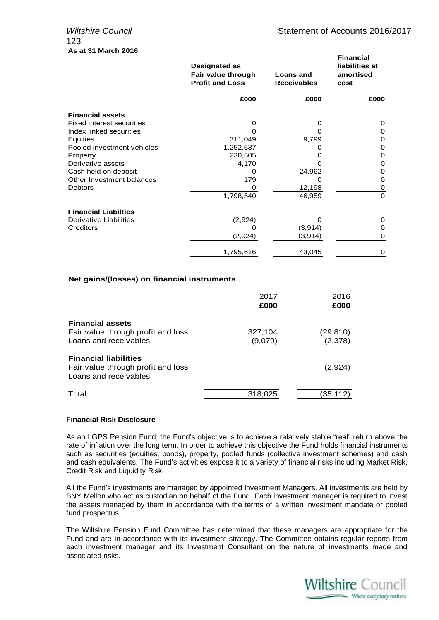|                                  | Designated as<br>Fair value through<br><b>Profit and Loss</b> | Loans and<br><b>Receivables</b> | <b>Financial</b><br>liabilities at<br>amortised<br>cost |
|----------------------------------|---------------------------------------------------------------|---------------------------------|---------------------------------------------------------|
|                                  | £000                                                          | £000                            | £000                                                    |
| <b>Financial assets</b>          |                                                               |                                 |                                                         |
| <b>Fixed interest securities</b> | 0                                                             | 0                               | 0                                                       |
| Index linked securities          | Ω                                                             | O                               | 0                                                       |
| Equities                         | 311,049                                                       | 9,799                           | 0                                                       |
| Pooled investment vehicles       | 1,252,637                                                     | 0                               | 0                                                       |
| Property                         | 230,505                                                       | 0                               | 0                                                       |
| Derivative assets                | 4,170                                                         |                                 | 0                                                       |
| Cash held on deposit             | 0                                                             | 24,962                          | 0                                                       |
| Other Investment balances        | 179                                                           | Ω                               | 0                                                       |
| <b>Debtors</b>                   | 0                                                             | 12,198                          | 0                                                       |
|                                  | 1,798,540                                                     | 46,959                          | $\Omega$                                                |
| <b>Financial Liabilties</b>      |                                                               |                                 |                                                         |
| Derivative Liabilities           | (2,924)                                                       | O                               | 0                                                       |
| Creditors                        |                                                               | (3,914)                         | 0                                                       |
|                                  | (2,924)                                                       | (3,914)                         | $\Omega$                                                |
|                                  | 1,795,616                                                     | 43,045                          | $\mathbf 0$                                             |

#### **Net gains/(losses) on financial instruments**

|                                                             | 2017<br>£000 | 2016<br>£000 |
|-------------------------------------------------------------|--------------|--------------|
| <b>Financial assets</b>                                     |              |              |
| Fair value through profit and loss                          | 327,104      | (29, 810)    |
| Loans and receivables                                       | (9,079)      | (2,378)      |
| <b>Financial liabilities</b>                                |              |              |
| Fair value through profit and loss<br>Loans and receivables |              | (2,924)      |
| Total                                                       | 318,025      | (35,112)     |

#### **Financial Risk Disclosure**

As an LGPS Pension Fund, the Fund's objective is to achieve a relatively stable "real" return above the rate of inflation over the long term. In order to achieve this objective the Fund holds financial instruments such as securities (equities, bonds), property, pooled funds (collective investment schemes) and cash and cash equivalents. The Fund's activities expose it to a variety of financial risks including Market Risk, Credit Risk and Liquidity Risk.

All the Fund's investments are managed by appointed Investment Managers. All investments are held by BNY Mellon who act as custodian on behalf of the Fund. Each investment manager is required to invest the assets managed by them in accordance with the terms of a written investment mandate or pooled fund prospectus.

The Wiltshire Pension Fund Committee has determined that these managers are appropriate for the Fund and are in accordance with its investment strategy. The Committee obtains regular reports from each investment manager and its Investment Consultant on the nature of investments made and associated risks.

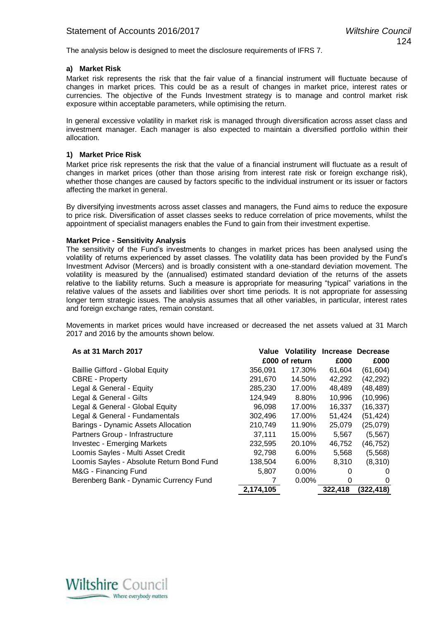The analysis below is designed to meet the disclosure requirements of IFRS 7.

#### **a) Market Risk**

Market risk represents the risk that the fair value of a financial instrument will fluctuate because of changes in market prices. This could be as a result of changes in market price, interest rates or currencies. The objective of the Funds Investment strategy is to manage and control market risk exposure within acceptable parameters, while optimising the return.

In general excessive volatility in market risk is managed through diversification across asset class and investment manager. Each manager is also expected to maintain a diversified portfolio within their allocation.

#### **1) Market Price Risk**

Market price risk represents the risk that the value of a financial instrument will fluctuate as a result of changes in market prices (other than those arising from interest rate risk or foreign exchange risk), whether those changes are caused by factors specific to the individual instrument or its issuer or factors affecting the market in general.

By diversifying investments across asset classes and managers, the Fund aims to reduce the exposure to price risk. Diversification of asset classes seeks to reduce correlation of price movements, whilst the appointment of specialist managers enables the Fund to gain from their investment expertise.

#### **Market Price - Sensitivity Analysis**

The sensitivity of the Fund's investments to changes in market prices has been analysed using the volatility of returns experienced by asset classes. The volatility data has been provided by the Fund's Investment Advisor (Mercers) and is broadly consistent with a one-standard deviation movement. The volatility is measured by the (annualised) estimated standard deviation of the returns of the assets relative to the liability returns. Such a measure is appropriate for measuring "typical" variations in the relative values of the assets and liabilities over short time periods. It is not appropriate for assessing longer term strategic issues. The analysis assumes that all other variables, in particular, interest rates and foreign exchange rates, remain constant.

Movements in market prices would have increased or decreased the net assets valued at 31 March 2017 and 2016 by the amounts shown below.

| As at 31 March 2017                       | Value     | <b>Volatility</b> | <b>Increase</b> | <b>Decrease</b> |
|-------------------------------------------|-----------|-------------------|-----------------|-----------------|
|                                           |           | £000 of return    | £000            | £000            |
| Baillie Gifford - Global Equity           | 356,091   | 17.30%            | 61,604          | (61, 604)       |
| <b>CBRE</b> - Property                    | 291,670   | 14.50%            | 42,292          | (42, 292)       |
| Legal & General - Equity                  | 285,230   | 17.00%            | 48,489          | (48,489)        |
| Legal & General - Gilts                   | 124,949   | 8.80%             | 10,996          | (10, 996)       |
| Legal & General - Global Equity           | 96,098    | 17.00%            | 16,337          | (16, 337)       |
| Legal & General - Fundamentals            | 302,496   | 17.00%            | 51,424          | (51,424)        |
| Barings - Dynamic Assets Allocation       | 210,749   | 11.90%            | 25,079          | (25,079)        |
| Partners Group - Infrastructure           | 37.111    | 15.00%            | 5,567           | (5, 567)        |
| <b>Investec - Emerging Markets</b>        | 232,595   | 20.10%            | 46,752          | (46,752)        |
| Loomis Sayles - Multi Asset Credit        | 92,798    | $6.00\%$          | 5,568           | (5, 568)        |
| Loomis Sayles - Absolute Return Bond Fund | 138,504   | 6.00%             | 8,310           | (8,310)         |
| M&G - Financing Fund                      | 5,807     | $0.00\%$          | 0               |                 |
| Berenberg Bank - Dynamic Currency Fund    |           | 0.00%             | 0               | 0               |
|                                           | 2,174,105 |                   | 322,418         | (322,418)       |

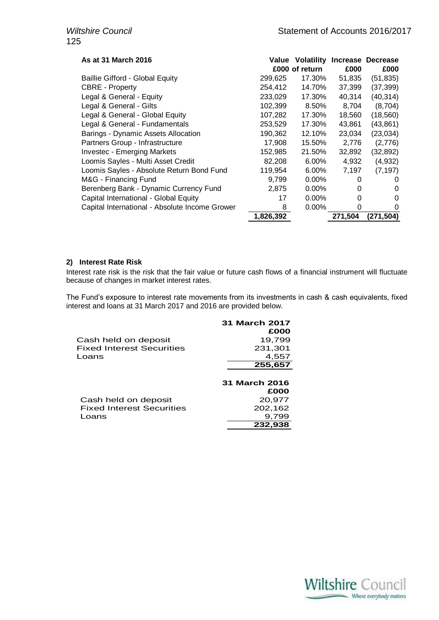| As at 31 March 2016                            | Value     | <b>Volatility</b> |         | Increase Decrease |
|------------------------------------------------|-----------|-------------------|---------|-------------------|
|                                                |           | £000 of return    | £000    | £000              |
| <b>Baillie Gifford - Global Equity</b>         | 299,625   | 17.30%            | 51,835  | (51, 835)         |
| <b>CBRE</b> - Property                         | 254,412   | 14.70%            | 37,399  | (37, 399)         |
| Legal & General - Equity                       | 233,029   | 17.30%            | 40,314  | (40, 314)         |
| Legal & General - Gilts                        | 102,399   | 8.50%             | 8,704   | (8,704)           |
| Legal & General - Global Equity                | 107,282   | 17.30%            | 18,560  | (18, 560)         |
| Legal & General - Fundamentals                 | 253,529   | 17.30%            | 43,861  | (43, 861)         |
| Barings - Dynamic Assets Allocation            | 190,362   | 12.10%            | 23,034  | (23, 034)         |
| Partners Group - Infrastructure                | 17,908    | 15.50%            | 2,776   | (2,776)           |
| <b>Investec - Emerging Markets</b>             | 152,985   | 21.50%            | 32,892  | (32, 892)         |
| Loomis Sayles - Multi Asset Credit             | 82,208    | 6.00%             | 4,932   | (4,932)           |
| Loomis Sayles - Absolute Return Bond Fund      | 119,954   | 6.00%             | 7,197   | (7, 197)          |
| M&G - Financing Fund                           | 9,799     | $0.00\%$          | 0       | 0                 |
| Berenberg Bank - Dynamic Currency Fund         | 2,875     | $0.00\%$          | 0       | 0                 |
| Capital International - Global Equity          | 17        | $0.00\%$          | 0       | 0                 |
| Capital International - Absolute Income Grower | 8         | $0.00\%$          | 0       | 0                 |
|                                                | 1,826,392 |                   | 271,504 | (271, 504)        |

#### **2) Interest Rate Risk**

Interest rate risk is the risk that the fair value or future cash flows of a financial instrument will fluctuate because of changes in market interest rates.

The Fund's exposure to interest rate movements from its investments in cash & cash equivalents, fixed interest and loans at 31 March 2017 and 2016 are provided below.

|                                  | 31 March 2017<br>£000 |
|----------------------------------|-----------------------|
| Cash held on deposit             | 19,799                |
| <b>Fixed Interest Securities</b> | 231,301               |
| Loans                            | 4,557                 |
|                                  | $\overline{255,}657$  |
|                                  | 31 March 2016         |
|                                  | £000                  |
| Cash held on deposit             | 20,977                |
| <b>Fixed Interest Securities</b> | 202,162               |
| Loans                            | 9,799                 |
|                                  | 232.938               |

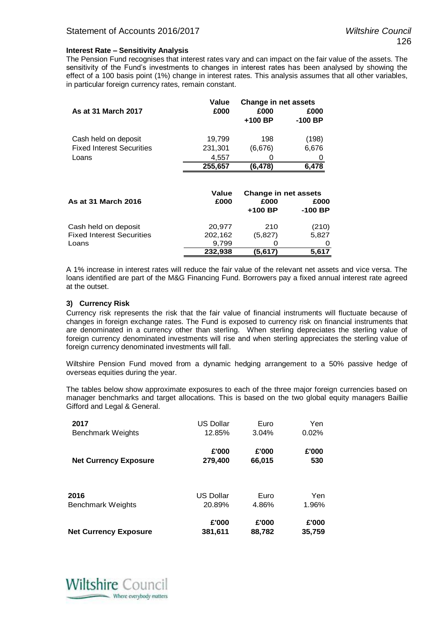#### **Interest Rate – Sensitivity Analysis**

The Pension Fund recognises that interest rates vary and can impact on the fair value of the assets. The sensitivity of the Fund's investments to changes in interest rates has been analysed by showing the effect of a 100 basis point (1%) change in interest rates. This analysis assumes that all other variables, in particular foreign currency rates, remain constant.

|                                  | Value   | <b>Change in net assets</b> |           |
|----------------------------------|---------|-----------------------------|-----------|
| As at 31 March 2017              | £000    | £000                        | £000      |
|                                  |         | $+100$ BP                   | $-100$ BP |
| Cash held on deposit             | 19,799  | 198                         | (198)     |
| <b>Fixed Interest Securities</b> | 231,301 | (6,676)                     | 6,676     |
| Loans                            | 4,557   | O                           | 0         |
|                                  | 255,657 | (6, 478)                    | 6,478     |
|                                  |         |                             |           |
|                                  | Value   | <b>Change in net assets</b> |           |
| As at 31 March 2016              | £000    | £000                        | £000      |
|                                  |         | $+100$ BP                   | $-100$ BP |
| Cash held on deposit             | 20,977  | 210                         | (210)     |
| <b>Fixed Interest Securities</b> | 202,162 | (5,827)                     | 5,827     |
| Loans                            | 9,799   | Ő                           | 0         |

A 1% increase in interest rates will reduce the fair value of the relevant net assets and vice versa. The loans identified are part of the M&G Financing Fund. Borrowers pay a fixed annual interest rate agreed at the outset.

**232,938 (5,617) 5,617**

#### **3) Currency Risk**

Currency risk represents the risk that the fair value of financial instruments will fluctuate because of changes in foreign exchange rates. The Fund is exposed to currency risk on financial instruments that are denominated in a currency other than sterling. When sterling depreciates the sterling value of foreign currency denominated investments will rise and when sterling appreciates the sterling value of foreign currency denominated investments will fall.

Wiltshire Pension Fund moved from a dynamic hedging arrangement to a 50% passive hedge of overseas equities during the year.

The tables below show approximate exposures to each of the three major foreign currencies based on manager benchmarks and target allocations. This is based on the two global equity managers Baillie Gifford and Legal & General.

| 2017                         | <b>US Dollar</b> | Euro   | Yen    |
|------------------------------|------------------|--------|--------|
| <b>Benchmark Weights</b>     | 12.85%           | 3.04%  | 0.02%  |
| <b>Net Currency Exposure</b> | £'000            | £'000  | £'000  |
|                              | 279,400          | 66,015 | 530    |
| 2016                         | <b>US Dollar</b> | Euro   | Yen    |
| <b>Benchmark Weights</b>     | 20.89%           | 4.86%  | 1.96%  |
| <b>Net Currency Exposure</b> | £'000            | £'000  | £'000  |
|                              | 381,611          | 88,782 | 35,759 |

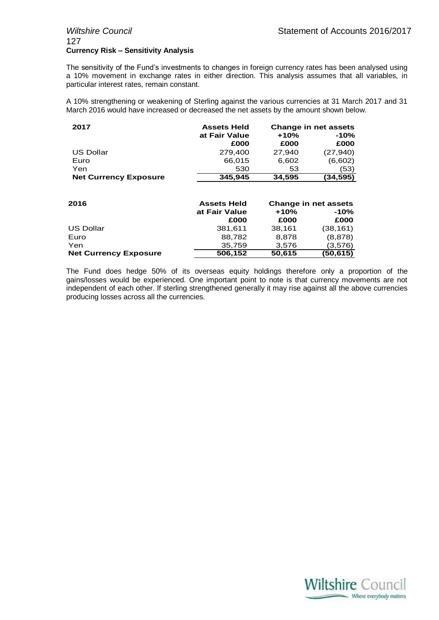## 127 **Currency Risk – Sensitivity Analysis**

The sensitivity of the Fund's investments to changes in foreign currency rates has been analysed using a 10% movement in exchange rates in either direction. This analysis assumes that all variables, in particular interest rates, remain constant.

A 10% strengthening or weakening of Sterling against the various currencies at 31 March 2017 and 31 March 2016 would have increased or decreased the net assets by the amount shown below.

| 2017                         | <b>Assets Held</b> | Change in net assets |           |  |
|------------------------------|--------------------|----------------------|-----------|--|
|                              | at Fair Value      | $+10%$               | $-10%$    |  |
|                              | £000               | £000                 | £000      |  |
| US Dollar                    | 279.400            | 27.940               | (27, 940) |  |
| Euro                         | 66,015             | 6,602                | (6,602)   |  |
| Yen                          | 530                | 53                   | (53)      |  |
| <b>Net Currency Exposure</b> | 345,945            | 34,595               | (34, 595) |  |
|                              |                    |                      |           |  |

| 2016                         | <b>Assets Held</b> | <b>Change in net assets</b> |           |  |
|------------------------------|--------------------|-----------------------------|-----------|--|
|                              | at Fair Value      | $+10%$                      | $-10%$    |  |
|                              | £000               | £000                        | £000      |  |
| <b>US Dollar</b>             | 381.611            | 38.161                      | (38, 161) |  |
| Euro                         | 88.782             | 8.878                       | (8, 878)  |  |
| Yen                          | 35,759             | 3,576                       | (3,576)   |  |
| <b>Net Currency Exposure</b> | 506,152            | 50,615                      | (50, 615) |  |

The Fund does hedge 50% of its overseas equity holdings therefore only a proportion of the gains/losses would be experienced. One important point to note is that currency movements are not independent of each other. If sterling strengthened generally it may rise against all the above currencies producing losses across all the currencies.

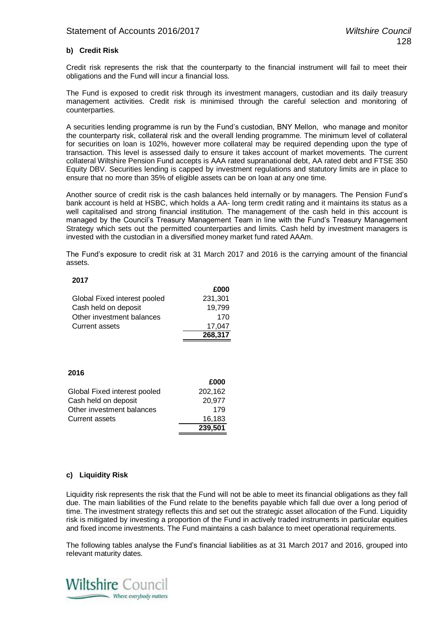#### **b) Credit Risk**

Credit risk represents the risk that the counterparty to the financial instrument will fail to meet their obligations and the Fund will incur a financial loss.

The Fund is exposed to credit risk through its investment managers, custodian and its daily treasury management activities. Credit risk is minimised through the careful selection and monitoring of counterparties.

A securities lending programme is run by the Fund's custodian, BNY Mellon, who manage and monitor the counterparty risk, collateral risk and the overall lending programme. The minimum level of collateral for securities on loan is 102%, however more collateral may be required depending upon the type of transaction. This level is assessed daily to ensure it takes account of market movements. The current collateral Wiltshire Pension Fund accepts is AAA rated supranational debt, AA rated debt and FTSE 350 Equity DBV. Securities lending is capped by investment regulations and statutory limits are in place to ensure that no more than 35% of eligible assets can be on loan at any one time.

Another source of credit risk is the cash balances held internally or by managers. The Pension Fund's bank account is held at HSBC, which holds a AA- long term credit rating and it maintains its status as a well capitalised and strong financial institution. The management of the cash held in this account is managed by the Council's Treasury Management Team in line with the Fund's Treasury Management Strategy which sets out the permitted counterparties and limits. Cash held by investment managers is invested with the custodian in a diversified money market fund rated AAAm.

The Fund's exposure to credit risk at 31 March 2017 and 2016 is the carrying amount of the financial assets.

#### **2017**

|                              | £000    |
|------------------------------|---------|
| Global Fixed interest pooled | 231,301 |
| Cash held on deposit         | 19,799  |
| Other investment balances    | 170     |
| <b>Current assets</b>        | 17.047  |
|                              | 268,317 |

#### **2016**

|                              | £000    |
|------------------------------|---------|
| Global Fixed interest pooled | 202,162 |
| Cash held on deposit         | 20,977  |
| Other investment balances    | 179     |
| Current assets               | 16,183  |
|                              | 239,501 |

#### **c) Liquidity Risk**

Liquidity risk represents the risk that the Fund will not be able to meet its financial obligations as they fall due. The main liabilities of the Fund relate to the benefits payable which fall due over a long period of time. The investment strategy reflects this and set out the strategic asset allocation of the Fund. Liquidity risk is mitigated by investing a proportion of the Fund in actively traded instruments in particular equities and fixed income investments. The Fund maintains a cash balance to meet operational requirements.

The following tables analyse the Fund's financial liabilities as at 31 March 2017 and 2016, grouped into relevant maturity dates.

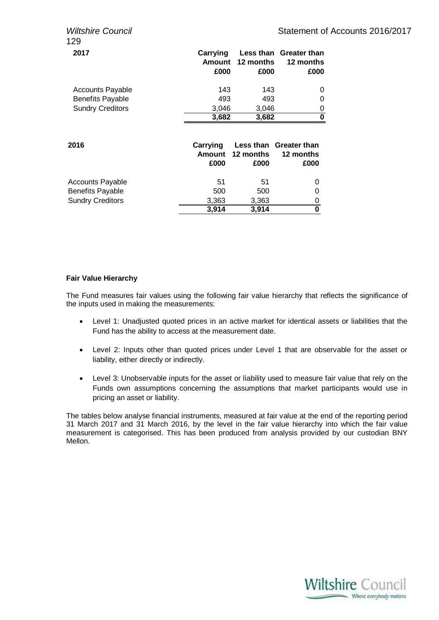| ווטוויסט סוווופוונ<br>129                                                     |                                   |                    | טומוסוווסווג ט                              |
|-------------------------------------------------------------------------------|-----------------------------------|--------------------|---------------------------------------------|
| 2017                                                                          | Carrying<br><b>Amount</b><br>£000 | 12 months<br>£000  | Less than Greater than<br>12 months<br>£000 |
| <b>Accounts Payable</b><br><b>Benefits Payable</b>                            | 143<br>493                        | 143<br>493         | 0<br>0                                      |
| <b>Sundry Creditors</b>                                                       | 3,046<br>3,682                    | 3,046<br>3,682     | 0<br>0                                      |
| 2016                                                                          | Carrying<br><b>Amount</b><br>£000 | 12 months<br>£000  | Less than Greater than<br>12 months<br>£000 |
| <b>Accounts Payable</b><br><b>Benefits Payable</b><br><b>Sundry Creditors</b> | 51<br>500<br>3,363                | 51<br>500<br>3,363 | 0<br>0<br>0                                 |
|                                                                               | 3,914                             | 3,914              | 0                                           |

#### **Fair Value Hierarchy**

The Fund measures fair values using the following fair value hierarchy that reflects the significance of the inputs used in making the measurements:

- Level 1: Unadjusted quoted prices in an active market for identical assets or liabilities that the Fund has the ability to access at the measurement date.
- Level 2: Inputs other than quoted prices under Level 1 that are observable for the asset or liability, either directly or indirectly.
- Level 3: Unobservable inputs for the asset or liability used to measure fair value that rely on the Funds own assumptions concerning the assumptions that market participants would use in pricing an asset or liability.

The tables below analyse financial instruments, measured at fair value at the end of the reporting period 31 March 2017 and 31 March 2016, by the level in the fair value hierarchy into which the fair value measurement is categorised. This has been produced from analysis provided by our custodian BNY Mellon.

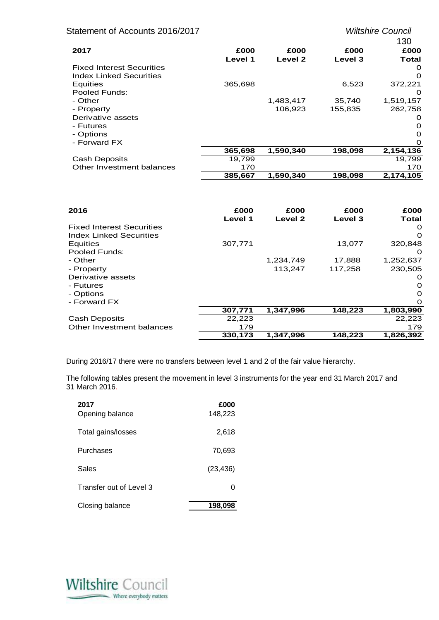| Statement of Accounts 2016/2017  |         |                    |         | <b>Wiltshire Council</b> |
|----------------------------------|---------|--------------------|---------|--------------------------|
|                                  |         |                    |         | 130                      |
| 2017                             | £000    | £000               | £000    | £000                     |
|                                  | Level 1 | Level <sub>2</sub> | Level 3 | Total                    |
| <b>Fixed Interest Securities</b> |         |                    |         | 0                        |
| <b>Index Linked Securities</b>   |         |                    |         | $\Omega$                 |
| Equities                         | 365,698 |                    | 6,523   | 372,221                  |
| Pooled Funds:                    |         |                    |         | $\Omega$                 |
| - Other                          |         | 1,483,417          | 35,740  | 1,519,157                |
| - Property                       |         | 106,923            | 155,835 | 262,758                  |
| Derivative assets                |         |                    |         | O                        |
| - Futures                        |         |                    |         | 0                        |
| - Options                        |         |                    |         | 0                        |
| - Forward FX                     |         |                    |         | $\Omega$                 |
|                                  | 365,698 | 1,590,340          | 198,098 | 2,154,136                |
| <b>Cash Deposits</b>             | 19,799  |                    |         | 19,799                   |
| Other Investment balances        | 170     |                    |         | 170                      |
|                                  | 385,667 | 1,590,340          | 198,098 | 2,174,105                |

| 2016                             | £000    | £000               | £000    | £000      |
|----------------------------------|---------|--------------------|---------|-----------|
|                                  | Level 1 | Level <sub>2</sub> | Level 3 | Total     |
| <b>Fixed Interest Securities</b> |         |                    |         | O         |
| <b>Index Linked Securities</b>   |         |                    |         | O         |
| <b>Equities</b>                  | 307,771 |                    | 13,077  | 320,848   |
| Pooled Funds:                    |         |                    |         | O         |
| - Other                          |         | 1,234,749          | 17,888  | 1,252,637 |
| - Property                       |         | 113,247            | 117,258 | 230,505   |
| Derivative assets                |         |                    |         | O         |
| - Futures                        |         |                    |         | $\Omega$  |
| - Options                        |         |                    |         | $\Omega$  |
| - Forward FX                     |         |                    |         | 0         |
|                                  | 307,771 | 1,347,996          | 148,223 | 1,803,990 |
| <b>Cash Deposits</b>             | 22,223  |                    |         | 22,223    |
| Other Investment balances        | 179     |                    |         | 179       |
|                                  | 330.173 | 1.347.996          | 148,223 | 1,826,392 |

During 2016/17 there were no transfers between level 1 and 2 of the fair value hierarchy.

The following tables present the movement in level 3 instruments for the year end 31 March 2017 and 31 March 2016.

| 2017<br>Opening balance | £000<br>148,223 |
|-------------------------|-----------------|
| Total gains/losses      | 2,618           |
| Purchases               | 70,693          |
| Sales                   | (23, 436)       |
| Transfer out of Level 3 | 0               |
| Closing balance         | 198,098         |

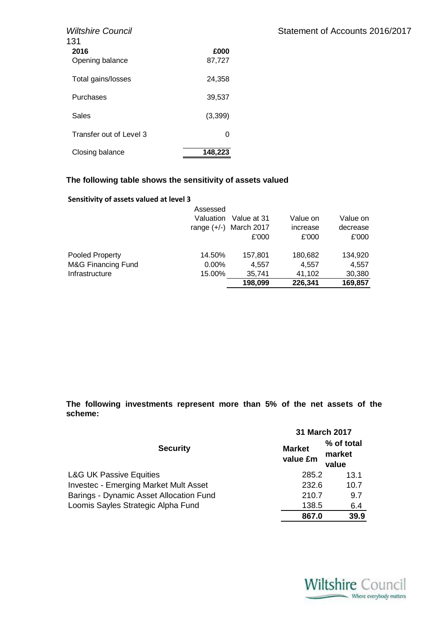| <b>Wiltshire Council</b><br>131 |                | Statement of Accounts 2016/2017 |
|---------------------------------|----------------|---------------------------------|
| 2016<br>Opening balance         | £000<br>87,727 |                                 |
| Total gains/losses              | 24,358         |                                 |
| Purchases                       | 39,537         |                                 |
| Sales                           | (3, 399)       |                                 |
| Transfer out of Level 3         | 0              |                                 |
| Closing balance                 | 148,223        |                                 |

### **The following table shows the sensitivity of assets valued**

#### **Sensitivity of assets valued at level 3**

|                        | Assessed      |             |          |          |
|------------------------|---------------|-------------|----------|----------|
|                        | Valuation     | Value at 31 | Value on | Value on |
|                        | range $(+/-)$ | March 2017  | increase | decrease |
|                        |               | £'000       | £'000    | £'000    |
| <b>Pooled Property</b> | 14.50%        | 157,801     | 180,682  | 134,920  |
| M&G Financing Fund     | $0.00\%$      | 4.557       | 4.557    | 4.557    |
| Infrastructure         | 15.00%        | 35,741      | 41,102   | 30,380   |
|                        |               | 198,099     | 226,341  | 169,857  |

**The following investments represent more than 5% of the net assets of the scheme:**

|                                              | 31 March 2017             |                               |
|----------------------------------------------|---------------------------|-------------------------------|
| <b>Security</b>                              | <b>Market</b><br>value £m | % of total<br>market<br>value |
| <b>L&amp;G UK Passive Equities</b>           | 285.2                     | 13.1                          |
| <b>Investec - Emerging Market Mult Asset</b> | 232.6                     | 10.7                          |
| Barings - Dynamic Asset Allocation Fund      | 210.7                     | 9.7                           |
| Loomis Sayles Strategic Alpha Fund           | 138.5                     | 6.4                           |
|                                              | 867.0                     | 39.9                          |

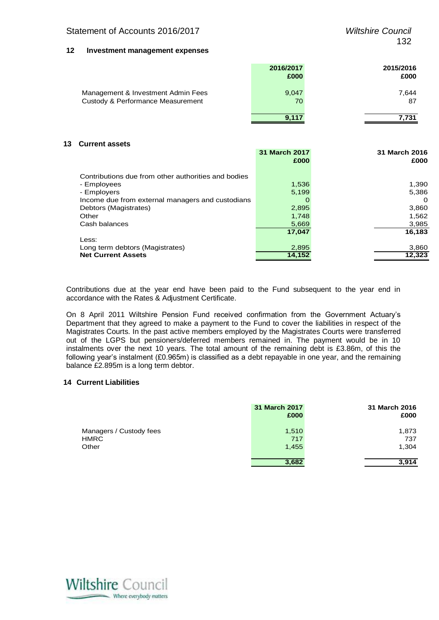#### **12 Investment management expenses**

|                                                                         | 2016/2017<br>£000 | 2015/2016<br>£000 |
|-------------------------------------------------------------------------|-------------------|-------------------|
| Management & Investment Admin Fees<br>Custody & Performance Measurement | 9,047<br>70       | 7,644<br>87       |
|                                                                         | 9,117             | 7,731             |

#### **13 Current assets**

|                                                     | 31 March 2017 | 31 March 2016 |
|-----------------------------------------------------|---------------|---------------|
|                                                     | £000          | £000          |
| Contributions due from other authorities and bodies |               |               |
| - Employees                                         | 1,536         | 1,390         |
| - Employers                                         | 5,199         | 5,386         |
| Income due from external managers and custodians    | O             | 0             |
| Debtors (Magistrates)                               | 2,895         | 3,860         |
| Other                                               | 1,748         | 1,562         |
| Cash balances                                       | 5,669         | 3,985         |
|                                                     | 17.047        | 16,183        |
| Less:                                               |               |               |
| Long term debtors (Magistrates)                     | 2,895         | 3,860         |
| <b>Net Current Assets</b>                           | 14.152        | 12,323        |
|                                                     |               |               |

Contributions due at the year end have been paid to the Fund subsequent to the year end in accordance with the Rates & Adjustment Certificate.

On 8 April 2011 Wiltshire Pension Fund received confirmation from the Government Actuary's Department that they agreed to make a payment to the Fund to cover the liabilities in respect of the Magistrates Courts. In the past active members employed by the Magistrates Courts were transferred out of the LGPS but pensioners/deferred members remained in. The payment would be in 10 instalments over the next 10 years. The total amount of the remaining debt is £3.86m, of this the following year's instalment (£0.965m) is classified as a debt repayable in one year, and the remaining balance £2.895m is a long term debtor.

#### **14 Current Liabilities**

|                                                 | 31 March 2017<br>£000 | 31 March 2016<br>£000 |
|-------------------------------------------------|-----------------------|-----------------------|
| Managers / Custody fees<br><b>HMRC</b><br>Other | 1,510<br>717<br>1,455 | 1,873<br>737<br>1,304 |
|                                                 | 3,682                 | 3.914                 |

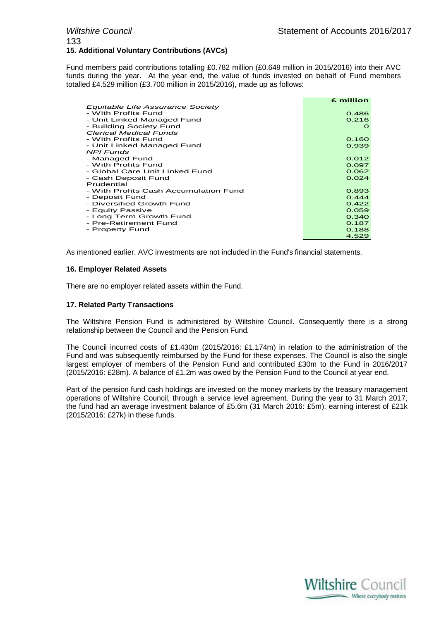#### *Wiltshire Council* **Statement of Accounts 2016/2017** 133 **15. Additional Voluntary Contributions (AVCs)**

Fund members paid contributions totalling £0.782 million (£0.649 million in 2015/2016) into their AVC funds during the year. At the year end, the value of funds invested on behalf of Fund members totalled £4.529 million (£3.700 million in 2015/2016), made up as follows:

|                                       | £ million |
|---------------------------------------|-----------|
| Equitable Life Assurance Society      |           |
| - With Profits Fund                   | 0.486     |
| - Unit Linked Managed Fund            | 0.216     |
| - Building Society Fund               | $\Omega$  |
| <b>Clerical Medical Funds</b>         |           |
| - With Profits Fund                   | 0.160     |
| - Unit Linked Managed Fund            | 0.939     |
| <b>NPI Funds</b>                      |           |
| - Managed Fund                        | 0.012     |
| - With Profits Fund                   | 0.097     |
| - Global Care Unit Linked Fund        | 0.062     |
| - Cash Deposit Fund                   | 0.024     |
| Prudential                            |           |
| - With Profits Cash Accumulation Fund | 0.893     |
| - Deposit Fund                        | 0.444     |
| - Diversified Growth Fund             | 0.422     |
| - Equity Passive                      | 0.059     |
| - Long Term Growth Fund               | 0.340     |
| - Pre-Retirement Fund                 | 0.187     |
| - Property Fund                       | 0.188     |
|                                       | 4.529     |

As mentioned earlier, AVC investments are not included in the Fund's financial statements.

#### **16. Employer Related Assets**

There are no employer related assets within the Fund.

#### **17. Related Party Transactions**

The Wiltshire Pension Fund is administered by Wiltshire Council. Consequently there is a strong relationship between the Council and the Pension Fund.

The Council incurred costs of £1.430m (2015/2016: £1.174m) in relation to the administration of the Fund and was subsequently reimbursed by the Fund for these expenses. The Council is also the single largest employer of members of the Pension Fund and contributed £30m to the Fund in 2016/2017 (2015/2016: £28m). A balance of £1.2m was owed by the Pension Fund to the Council at year end.

Part of the pension fund cash holdings are invested on the money markets by the treasury management operations of Wiltshire Council, through a service level agreement. During the year to 31 March 2017, the fund had an average investment balance of £5.6m (31 March 2016: £5m), earning interest of £21k (2015/2016: £27k) in these funds.

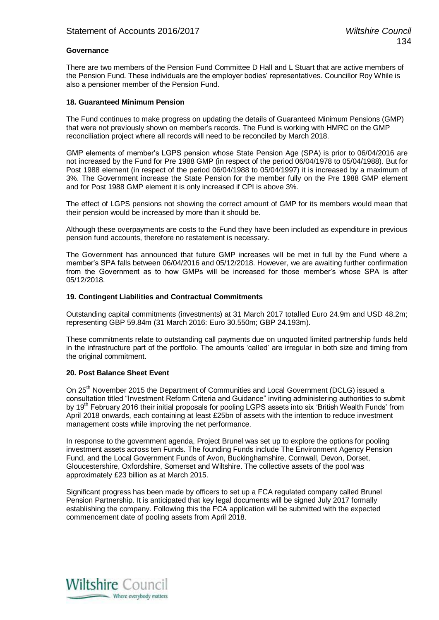#### **Governance**

There are two members of the Pension Fund Committee D Hall and L Stuart that are active members of the Pension Fund. These individuals are the employer bodies' representatives. Councillor Roy While is also a pensioner member of the Pension Fund.

#### **18. Guaranteed Minimum Pension**

The Fund continues to make progress on updating the details of Guaranteed Minimum Pensions (GMP) that were not previously shown on member's records. The Fund is working with HMRC on the GMP reconciliation project where all records will need to be reconciled by March 2018.

GMP elements of member's LGPS pension whose State Pension Age (SPA) is prior to 06/04/2016 are not increased by the Fund for Pre 1988 GMP (in respect of the period 06/04/1978 to 05/04/1988). But for Post 1988 element (in respect of the period 06/04/1988 to 05/04/1997) it is increased by a maximum of 3%. The Government increase the State Pension for the member fully on the Pre 1988 GMP element and for Post 1988 GMP element it is only increased if CPI is above 3%.

The effect of LGPS pensions not showing the correct amount of GMP for its members would mean that their pension would be increased by more than it should be.

Although these overpayments are costs to the Fund they have been included as expenditure in previous pension fund accounts, therefore no restatement is necessary.

The Government has announced that future GMP increases will be met in full by the Fund where a member's SPA falls between 06/04/2016 and 05/12/2018. However, we are awaiting further confirmation from the Government as to how GMPs will be increased for those member's whose SPA is after 05/12/2018.

#### **19. Contingent Liabilities and Contractual Commitments**

Outstanding capital commitments (investments) at 31 March 2017 totalled Euro 24.9m and USD 48.2m; representing GBP 59.84m (31 March 2016: Euro 30.550m; GBP 24.193m).

These commitments relate to outstanding call payments due on unquoted limited partnership funds held in the infrastructure part of the portfolio. The amounts 'called' are irregular in both size and timing from the original commitment.

#### **20. Post Balance Sheet Event**

On 25<sup>th</sup> November 2015 the Department of Communities and Local Government (DCLG) issued a consultation titled "Investment Reform Criteria and Guidance" inviting administering authorities to submit by 19<sup>th</sup> February 2016 their initial proposals for pooling LGPS assets into six 'British Wealth Funds' from April 2018 onwards, each containing at least £25bn of assets with the intention to reduce investment management costs while improving the net performance.

In response to the government agenda, Project Brunel was set up to explore the options for pooling investment assets across ten Funds. The founding Funds include The Environment Agency Pension Fund, and the Local Government Funds of Avon, Buckinghamshire, Cornwall, Devon, Dorset, Gloucestershire, Oxfordshire, Somerset and Wiltshire. The collective assets of the pool was approximately £23 billion as at March 2015.

Significant progress has been made by officers to set up a FCA regulated company called Brunel Pension Partnership. It is anticipated that key legal documents will be signed July 2017 formally establishing the company. Following this the FCA application will be submitted with the expected commencement date of pooling assets from April 2018.

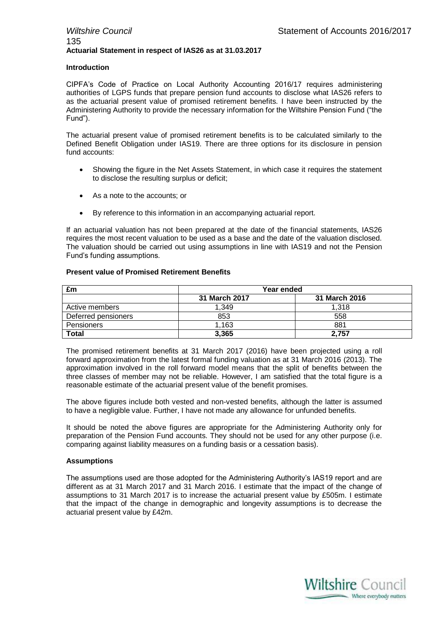#### *Wiltshire Council* **Statement of Accounts 2016/2017** 135 **Actuarial Statement in respect of IAS26 as at 31.03.2017**

#### **Introduction**

CIPFA's Code of Practice on Local Authority Accounting 2016/17 requires administering authorities of LGPS funds that prepare pension fund accounts to disclose what IAS26 refers to as the actuarial present value of promised retirement benefits. I have been instructed by the Administering Authority to provide the necessary information for the Wiltshire Pension Fund ("the Fund").

The actuarial present value of promised retirement benefits is to be calculated similarly to the Defined Benefit Obligation under IAS19. There are three options for its disclosure in pension fund accounts:

- Showing the figure in the Net Assets Statement, in which case it requires the statement to disclose the resulting surplus or deficit;
- As a note to the accounts; or
- By reference to this information in an accompanying actuarial report.

If an actuarial valuation has not been prepared at the date of the financial statements, IAS26 requires the most recent valuation to be used as a base and the date of the valuation disclosed. The valuation should be carried out using assumptions in line with IAS19 and not the Pension Fund's funding assumptions.

#### **Present value of Promised Retirement Benefits**

| £m                  | Year ended    |               |
|---------------------|---------------|---------------|
|                     | 31 March 2017 | 31 March 2016 |
| Active members      | 1.349         | 1.318         |
| Deferred pensioners | 853           | 558           |
| Pensioners          | 1,163         | 881           |
| <b>Total</b>        | 3,365         | 2.757         |

The promised retirement benefits at 31 March 2017 (2016) have been projected using a roll forward approximation from the latest formal funding valuation as at 31 March 2016 (2013). The approximation involved in the roll forward model means that the split of benefits between the three classes of member may not be reliable. However, I am satisfied that the total figure is a reasonable estimate of the actuarial present value of the benefit promises.

The above figures include both vested and non-vested benefits, although the latter is assumed to have a negligible value. Further, I have not made any allowance for unfunded benefits.

It should be noted the above figures are appropriate for the Administering Authority only for preparation of the Pension Fund accounts. They should not be used for any other purpose (i.e. comparing against liability measures on a funding basis or a cessation basis).

#### **Assumptions**

The assumptions used are those adopted for the Administering Authority's IAS19 report and are different as at 31 March 2017 and 31 March 2016. I estimate that the impact of the change of assumptions to 31 March 2017 is to increase the actuarial present value by £505m. I estimate that the impact of the change in demographic and longevity assumptions is to decrease the actuarial present value by £42m.

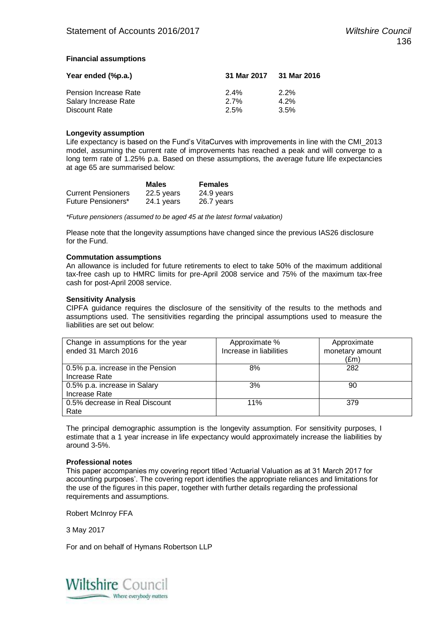#### **Financial assumptions**

| Year ended (%p.a.)    | 31 Mar 2017 31 Mar 2016 |         |  |
|-----------------------|-------------------------|---------|--|
| Pension Increase Rate | $2.4\%$                 | $2.2\%$ |  |
| Salary Increase Rate  | $2.7\%$                 | 4.2%    |  |
| Discount Rate         | 2.5%                    | 3.5%    |  |

#### **Longevity assumption**

Life expectancy is based on the Fund's VitaCurves with improvements in line with the CMI\_2013 model, assuming the current rate of improvements has reached a peak and will converge to a long term rate of 1.25% p.a. Based on these assumptions, the average future life expectancies at age 65 are summarised below:

|                           | <b>Males</b> | <b>Females</b> |
|---------------------------|--------------|----------------|
| <b>Current Pensioners</b> | 22.5 years   | 24.9 years     |
| Future Pensioners*        | 24.1 years   | 26.7 years     |

*\*Future pensioners (assumed to be aged 45 at the latest formal valuation)*

Please note that the longevity assumptions have changed since the previous IAS26 disclosure for the Fund.

#### **Commutation assumptions**

An allowance is included for future retirements to elect to take 50% of the maximum additional tax-free cash up to HMRC limits for pre-April 2008 service and 75% of the maximum tax-free cash for post-April 2008 service.

#### **Sensitivity Analysis**

CIPFA guidance requires the disclosure of the sensitivity of the results to the methods and assumptions used. The sensitivities regarding the principal assumptions used to measure the liabilities are set out below:

| Change in assumptions for the year<br>ended 31 March 2016 | Approximate %<br>Increase in liabilities | Approximate<br>monetary amount<br>(£m) |
|-----------------------------------------------------------|------------------------------------------|----------------------------------------|
|                                                           |                                          |                                        |
| 0.5% p.a. increase in the Pension                         | 8%                                       | 282                                    |
| Increase Rate                                             |                                          |                                        |
| 0.5% p.a. increase in Salary                              | 3%                                       | 90                                     |
| Increase Rate                                             |                                          |                                        |
| 0.5% decrease in Real Discount                            | 11%                                      | 379                                    |
| Rate                                                      |                                          |                                        |

The principal demographic assumption is the longevity assumption. For sensitivity purposes, I estimate that a 1 year increase in life expectancy would approximately increase the liabilities by around 3-5%.

#### **Professional notes**

This paper accompanies my covering report titled 'Actuarial Valuation as at 31 March 2017 for accounting purposes'. The covering report identifies the appropriate reliances and limitations for the use of the figures in this paper, together with further details regarding the professional requirements and assumptions.

Robert McInroy FFA

3 May 2017

For and on behalf of Hymans Robertson LLP

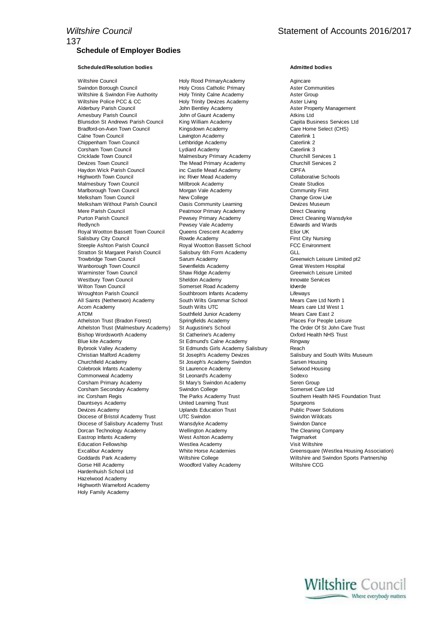#### **Scheduled/Resolution bodies Admitted bodies**

Wiltshire Council **Holy Rood PrimaryAcademy** Agincare Swindon Borough Council **Holy Cross Catholic Primary** Aster Communities Wiltshire & Swindon Fire Authority **Holy Trinity Calne Academy Aster Group** Aster Group Wiltshire Police PCC & CC Holy Trinity Devizes Academy Aster Living Amesbury Parish Council **Accord Academy** John of Gaunt Academy **Atkins Ltd** Blunsdon St Andrews Parish Council King William Academy Capita Business Services Ltd Bradford-on-Avon Town Council Kingsdown Academy Care Home Select (CHS) Calne Town Council **Caterlink 1** Lavington Academy Caterlink 1 Chippenham Town Council Chippenham Caterlink 2 Chippenham Town Council Lethbridge Academy Caterlink 2 Corsham Town Council Cricklade Town Council Malmesbury Primary Academy Churchill Services 1 Devizes Town Council **The Mead Primary Academy** Churchill Services 2 Haydon Wick Parish Council inc Castle Mead Academy CIPFA Highworth Town Council inc River Mead Academy Collaborative Schools Malmesbury Town Council **Millbrook Academy** Create Studios<br>
Marlborough Town Council Community First<br>
Morgan Vale Academy Community First Marlborough Town Council Melksham Town Council **New College College** Change Grow Live Change Grow Live Change Grow Live Change Grow Live College Change Grow Live Melksham Without Parish Council Casis Community Learning Change Devizes Museum Melksham Without Parish Council Mere Parish Council **State Accord Peatmoor Primary Academy** Direct Cleaning<br>
Peath Peath Direct Cleaning Wansdyke<br>
Peath Peats Primary Academy Direct Cleaning Wansdyke Purton Parish Council **Pewsey Primary Academy** Pewsey Primary Academy Redlynch **Pewsey Vale Academy Pewsey Vale Academy Edwards and Wards** Royal Wootton Bassett Town Council Queens Crescent Academy Elior UK Salisbury City Council **Rowde Academy** First City Nursing Steeple Ashton Parish Council **Royal Wootton Bassett School FCC Environment** Stratton St Margaret Parish Council Salisbury 6th Form Academy GLL Trowbridge Town Council Sarum Academy Greenwich Leisure Limited pt2 Wanborough Town Council **Sevenfields Academy** Great Western Hospital Great Western Hospital Warminster Town Council Shaw Ridge Academy Greenwich Leisure Limited Westbury Town Council **Sheldon Academy Innovate Services Innovate Services** Wilton Town Council **Somerset Road Academy Idverde** Wroughton Parish Council **Southbroom Infants Academy** Lifeways All Saints (Netheravon) Academy South Wilts Grammar School Mears Care Ltd North 1 Acorn Academy **South Wilts UTC** Mears care Ltd West 1 ATOM Southfield Junior Academy Mears Care East 2<br>Athelston Trust (Bradon Forest) Springfields Academy Places For People Leisure Athelston Trust (Bradon Forest) Athelston Trust (Malmesbury Academy) St Augustine's School The Order Of St John Care Trust Bishop Wordsworth Academy St Catherine's Academy Oxford Health NHS Trust<br>Blue kite Academy St Edmund's Calne Academy Ringway Bybrook Valley Academy **St Edmunds Girls Academy Salisbury** Reach Christian Malford Academy St Joseph's Academy Devizes Salisbury and South Wilts Museum Churchfield Academy **St Joseph's Academy Swindon** Sarsen Housing Colebrook Infants Academy St Laurence Academy Selwood Housing Commonweal Academy St Leonard's Academy Sodexo Corsham Primary Academy St Mary's Swindon Academy Seren Group Corsham Secondary Academy Swindon College Somerset Care Ltd inc Corsham Regis The Parks Academy Trust Southern Health NHS Foundation Trust Southern Health NHS Foundation Trust Dauntseys Academy United Learning Trust Spurgeons Devizes Academy Uplands Education Trust Public Power Solutions Diocese of Bristol Academy Trust UTC Swindon Swindon Swindon Swindon Swindon Swindon Swindon Swindon Swing Swindon Diocese of Salisbury Academy Trust Wansdyke Academy Swindon Dance<br>
Dorcan Technology Academy Wellington Academy Statement Statement Cheaning Company Dorcan Technology Academy Wellington Academy Eastrop Infants Academy West Ashton Academy Twigmarket Education Fellowship **Westlea Academy Westlea Academy** Visit Wiltshire Gorse Hill Academy Woodford Valley Academy Wiltshire CCG Hardenhuish School Ltd Hazelwood Academy Highworth Warneford Academy Holy Family Academy

John Bentley Academy **Aster Property Management** St Edmund's Calne Academy

Excalibur Academy White Horse Academies Greensquare (Westlea Housing Association) Goddards Park Academy **Wiltshire College Wiltshire and Swindon Sports Partnership**